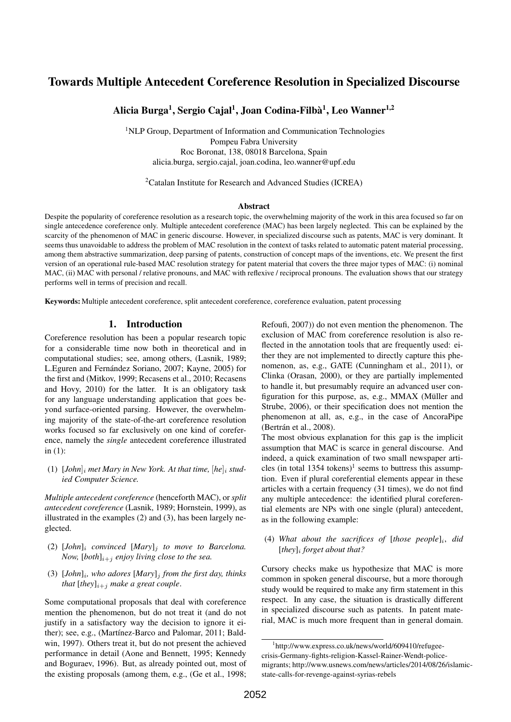# Towards Multiple Antecedent Coreference Resolution in Specialized Discourse

Alicia Burga<sup>1</sup>, Sergio Cajal<sup>1</sup>, Joan Codina-Filbà<sup>1</sup>, Leo Wanner<sup>1,2</sup>

<sup>1</sup>NLP Group, Department of Information and Communication Technologies Pompeu Fabra University Roc Boronat, 138, 08018 Barcelona, Spain alicia.burga, sergio.cajal, joan.codina, leo.wanner@upf.edu

<sup>2</sup>Catalan Institute for Research and Advanced Studies (ICREA)

#### **Abstract**

Despite the popularity of coreference resolution as a research topic, the overwhelming majority of the work in this area focused so far on single antecedence coreference only. Multiple antecedent coreference (MAC) has been largely neglected. This can be explained by the scarcity of the phenomenon of MAC in generic discourse. However, in specialized discourse such as patents, MAC is very dominant. It seems thus unavoidable to address the problem of MAC resolution in the context of tasks related to automatic patent material processing, among them abstractive summarization, deep parsing of patents, construction of concept maps of the inventions, etc. We present the first version of an operational rule-based MAC resolution strategy for patent material that covers the three major types of MAC: (i) nominal MAC, (ii) MAC with personal / relative pronouns, and MAC with reflexive / reciprocal pronouns. The evaluation shows that our strategy performs well in terms of precision and recall.

Keywords: Multiple antecedent coreference, split antecedent coreference, coreference evaluation, patent processing

#### 1. Introduction

Coreference resolution has been a popular research topic for a considerable time now both in theoretical and in computational studies; see, among others, (Lasnik, 1989; L.Eguren and Fernández Soriano, 2007; Kayne, 2005) for the first and (Mitkov, 1999; Recasens et al., 2010; Recasens and Hovy, 2010) for the latter. It is an obligatory task for any language understanding application that goes beyond surface-oriented parsing. However, the overwhelming majority of the state-of-the-art coreference resolution works focused so far exclusively on one kind of coreference, namely the *single* antecedent coreference illustrated in (1):

(1)  $[John]_i$  *met Mary in New York. At that time,*  $[he]_i$  *studied Computer Science.*

*Multiple antecedent coreference* (henceforth MAC), or *split antecedent coreference* (Lasnik, 1989; Hornstein, 1999), as illustrated in the examples (2) and (3), has been largely neglected.

- (2)  $[John]_i$  *convinced*  $[Mary]_i$  *to move to Barcelona. Now,*  $[both]_{i+j}$  *enjoy living close to the sea.*
- $(3)$  [*John*]<sub>i</sub>, who adores [Mary]<sub>j</sub> from the first day, thinks *that*  $[they]_{i+j}$  *make a great couple.*

Some computational proposals that deal with coreference mention the phenomenon, but do not treat it (and do not justify in a satisfactory way the decision to ignore it either); see, e.g., (Martínez-Barco and Palomar, 2011; Baldwin, 1997). Others treat it, but do not present the achieved performance in detail (Aone and Bennett, 1995; Kennedy and Boguraev, 1996). But, as already pointed out, most of the existing proposals (among them, e.g., (Ge et al., 1998; Refoufi, 2007)) do not even mention the phenomenon. The exclusion of MAC from coreference resolution is also reflected in the annotation tools that are frequently used: either they are not implemented to directly capture this phenomenon, as, e.g., GATE (Cunningham et al., 2011), or Clinka (Orasan, 2000), or they are partially implemented to handle it, but presumably require an advanced user configuration for this purpose, as, e.g., MMAX (Müller and Strube, 2006), or their specification does not mention the phenomenon at all, as, e.g., in the case of AncoraPipe (Bertrán et al., 2008).

The most obvious explanation for this gap is the implicit assumption that MAC is scarce in general discourse. And indeed, a quick examination of two small newspaper articles (in total  $1354$  tokens)<sup>1</sup> seems to buttress this assumption. Even if plural coreferential elements appear in these articles with a certain frequency (31 times), we do not find any multiple antecedence: the identified plural coreferential elements are NPs with one single (plural) antecedent, as in the following example:

#### (4) *What about the sacrifices of* [*those people*]<sup>i</sup> , *did* [*they*]<sup>i</sup> *forget about that?*

Cursory checks make us hypothesize that MAC is more common in spoken general discourse, but a more thorough study would be required to make any firm statement in this respect. In any case, the situation is drastically different in specialized discourse such as patents. In patent material, MAC is much more frequent than in general domain.

<sup>1</sup> http://www.express.co.uk/news/world/609410/refugeecrisis-Germany-fights-religion-Kassel-Rainer-Wendt-policemigrants; http://www.usnews.com/news/articles/2014/08/26/islamicstate-calls-for-revenge-against-syrias-rebels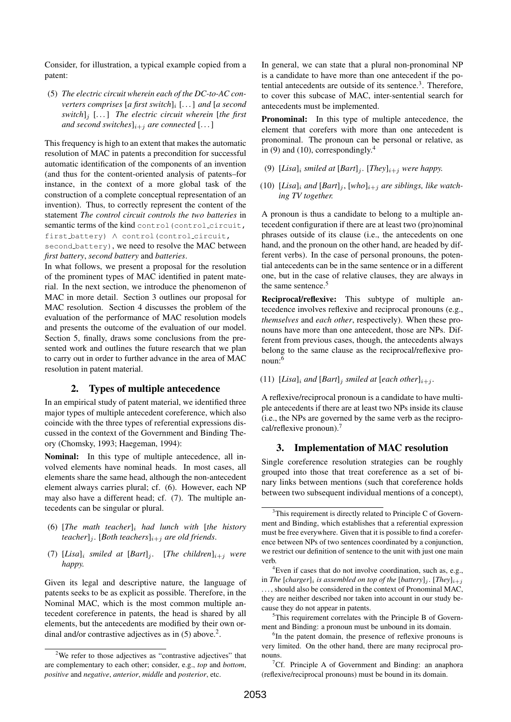Consider, for illustration, a typical example copied from a patent:

(5) *The electric circuit wherein each of the DC-to-AC converters comprises* [*a first switch*]<sub>*i*</sub> [...] *and* [*a second switch*]<sup>j</sup> [. . . ] *The electric circuit wherein* [*the first and second switches*] $_{i+j}$  *are connected* [...]

This frequency is high to an extent that makes the automatic resolution of MAC in patents a precondition for successful automatic identification of the components of an invention (and thus for the content-oriented analysis of patents–for instance, in the context of a more global task of the construction of a complete conceptual representation of an invention). Thus, to correctly represent the content of the statement *The control circuit controls the two batteries* in semantic terms of the kind control (control circuit, first battery) ∧ control(control circuit,

second battery), we need to resolve the MAC between *first battery*, *second battery* and *batteries*.

In what follows, we present a proposal for the resolution of the prominent types of MAC identified in patent material. In the next section, we introduce the phenomenon of MAC in more detail. Section 3 outlines our proposal for MAC resolution. Section 4 discusses the problem of the evaluation of the performance of MAC resolution models and presents the outcome of the evaluation of our model. Section 5, finally, draws some conclusions from the presented work and outlines the future research that we plan to carry out in order to further advance in the area of MAC resolution in patent material.

#### 2. Types of multiple antecedence

In an empirical study of patent material, we identified three major types of multiple antecedent coreference, which also coincide with the three types of referential expressions discussed in the context of the Government and Binding Theory (Chomsky, 1993; Haegeman, 1994):

Nominal: In this type of multiple antecedence, all involved elements have nominal heads. In most cases, all elements share the same head, although the non-antecedent element always carries plural; cf. (6). However, each NP may also have a different head; cf. (7). The multiple antecedents can be singular or plural.

- (6) [*The math teacher*]<sup>i</sup> *had lunch with* [*the history teacher*]<sub>j</sub>. [*Both teachers*]<sub>i+j</sub> *are old friends.*
- (7)  $[Lisa]_i$  *smiled at*  $[Bart]_j$ . [*The children*] $i+j$  *were happy.*

Given its legal and descriptive nature, the language of patents seeks to be as explicit as possible. Therefore, in the Nominal MAC, which is the most common multiple antecedent coreference in patents, the head is shared by all elements, but the antecedents are modified by their own ordinal and/or contrastive adjectives as in  $(5)$  above.<sup>2</sup>.

In general, we can state that a plural non-pronominal NP is a candidate to have more than one antecedent if the potential antecedents are outside of its sentence.<sup>3</sup>. Therefore, to cover this subcase of MAC, inter-sentential search for antecedents must be implemented.

Pronominal: In this type of multiple antecedence, the element that corefers with more than one antecedent is pronominal. The pronoun can be personal or relative, as in (9) and (10), correspondingly. $4$ 

- (9)  $[Lisa]_i$  *smiled at*  $[Bart]_i$ .  $[They]_{i+j}$  *were happy.*
- (10) [*Lisa*]<sub>i</sub> and [Bart]<sub>i</sub>, [who]<sub>i+j</sub> are siblings, like watch*ing TV together.*

A pronoun is thus a candidate to belong to a multiple antecedent configuration if there are at least two (pro)nominal phrases outside of its clause (i.e., the antecedents on one hand, and the pronoun on the other hand, are headed by different verbs). In the case of personal pronouns, the potential antecedents can be in the same sentence or in a different one, but in the case of relative clauses, they are always in the same sentence.<sup>5</sup>

Reciprocal/reflexive: This subtype of multiple antecedence involves reflexive and reciprocal pronouns (e.g., *themselves* and *each other*, respectively). When these pronouns have more than one antecedent, those are NPs. Different from previous cases, though, the antecedents always belong to the same clause as the reciprocal/reflexive pronoun:<sup>6</sup>

(11) [*Lisa*]<sub>i</sub> and [*Bart*]<sub>j</sub> smiled at [each other]<sub>i+j</sub>.

A reflexive/reciprocal pronoun is a candidate to have multiple antecedents if there are at least two NPs inside its clause (i.e., the NPs are governed by the same verb as the reciprocal/reflexive pronoun).<sup>7</sup>

#### 3. Implementation of MAC resolution

Single coreference resolution strategies can be roughly grouped into those that treat coreference as a set of binary links between mentions (such that coreference holds between two subsequent individual mentions of a concept),

<sup>5</sup>This requirement correlates with the Principle B of Government and Binding: a pronoun must be unbound in its domain.

<sup>6</sup>In the patent domain, the presence of reflexive pronouns is very limited. On the other hand, there are many reciprocal pronouns.

<sup>7</sup>Cf. Principle A of Government and Binding: an anaphora (reflexive/reciprocal pronouns) must be bound in its domain.

<sup>&</sup>lt;sup>2</sup>We refer to those adjectives as "contrastive adjectives" that are complementary to each other; consider, e.g., *top* and *bottom*, *positive* and *negative*, *anterior*, *middle* and *posterior*, etc.

<sup>&</sup>lt;sup>3</sup>This requirement is directly related to Principle C of Government and Binding, which establishes that a referential expression must be free everywhere. Given that it is possible to find a coreference between NPs of two sentences coordinated by a conjunction, we restrict our definition of sentence to the unit with just one main verb.

<sup>&</sup>lt;sup>4</sup>Even if cases that do not involve coordination, such as, e.g., in *The* [*charger*]<sub>*i*</sub> *is assembled on top of the* [*battery*]<sub>*i*</sub>. [*They*]<sub>*i+i*</sub> . . . , should also be considered in the context of Pronominal MAC, they are neither described nor taken into account in our study because they do not appear in patents.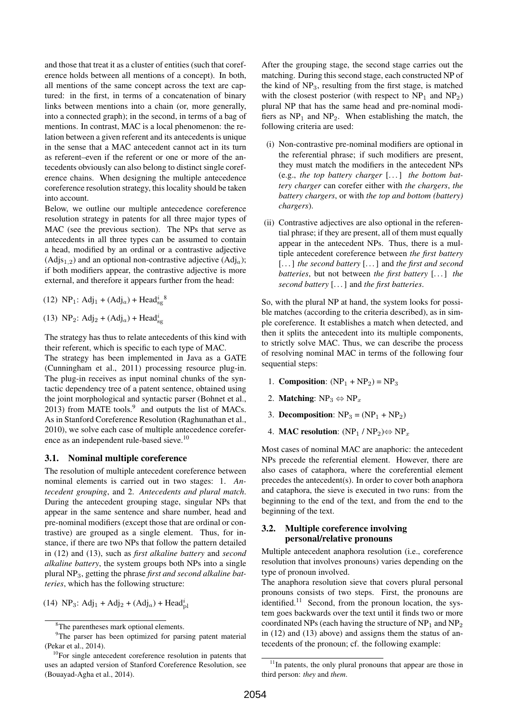and those that treat it as a cluster of entities (such that coreference holds between all mentions of a concept). In both, all mentions of the same concept across the text are captured: in the first, in terms of a concatenation of binary links between mentions into a chain (or, more generally, into a connected graph); in the second, in terms of a bag of mentions. In contrast, MAC is a local phenomenon: the relation between a given referent and its antecedents is unique in the sense that a MAC antecedent cannot act in its turn as referent–even if the referent or one or more of the antecedents obviously can also belong to distinct single coreference chains. When designing the multiple antecedence coreference resolution strategy, this locality should be taken into account.

Below, we outline our multiple antecedence coreference resolution strategy in patents for all three major types of MAC (see the previous section). The NPs that serve as antecedents in all three types can be assumed to contain a head, modified by an ordinal or a contrastive adjective  $(Adj_{1,2})$  and an optional non-contrastive adjective  $(Adj_{a})$ ; if both modifiers appear, the contrastive adjective is more external, and therefore it appears further from the head:

(12)  $NP_1$ :  $Adj_1 + (Adj_a) + Head_{sg}^i{}^8$ 

(13) NP<sub>2</sub>: Adj<sub>2</sub> + (Adj<sub>a</sub>) + Head<sup>i</sup><sub>sg</sub>

The strategy has thus to relate antecedents of this kind with their referent, which is specific to each type of MAC.

The strategy has been implemented in Java as a GATE (Cunningham et al., 2011) processing resource plug-in. The plug-in receives as input nominal chunks of the syntactic dependency tree of a patent sentence, obtained using the joint morphological and syntactic parser (Bohnet et al., 2013) from MATE tools. $9$  and outputs the list of MACs. As in Stanford Coreference Resolution (Raghunathan et al., 2010), we solve each case of multiple antecedence coreference as an independent rule-based sieve.<sup>10</sup>

#### 3.1. Nominal multiple coreference

The resolution of multiple antecedent coreference between nominal elements is carried out in two stages: 1. *Antecedent grouping*, and 2. *Antecedents and plural match*. During the antecedent grouping stage, singular NPs that appear in the same sentence and share number, head and pre-nominal modifiers (except those that are ordinal or contrastive) are grouped as a single element. Thus, for instance, if there are two NPs that follow the pattern detailed in (12) and (13), such as *first alkaline battery* and *second alkaline battery*, the system groups both NPs into a single plural NP3, getting the phrase *first and second alkaline batteries*, which has the following structure:

(14) NP<sub>3</sub>: Adj<sub>1</sub> + Adj<sub>2</sub> + (Adj<sub>a</sub>) + Head<sup>i</sup><sub>pl</sub>

After the grouping stage, the second stage carries out the matching. During this second stage, each constructed NP of the kind of  $NP<sub>3</sub>$ , resulting from the first stage, is matched with the closest posterior (with respect to  $NP_1$  and  $NP_2$ ) plural NP that has the same head and pre-nominal modifiers as  $NP_1$  and  $NP_2$ . When establishing the match, the following criteria are used:

- (i) Non-contrastive pre-nominal modifiers are optional in the referential phrase; if such modifiers are present, they must match the modifiers in the antecedent NPs (e.g., *the top battery charger* [. . . ] *the bottom battery charger* can corefer either with *the chargers*, *the battery chargers*, or with *the top and bottom (battery) chargers*).
- (ii) Contrastive adjectives are also optional in the referential phrase; if they are present, all of them must equally appear in the antecedent NPs. Thus, there is a multiple antecedent coreference between *the first battery* [. . . ] *the second battery* [. . . ] and *the first and second batteries*, but not between *the first battery* [. . . ] *the second battery* [. . . ] and *the first batteries*.

So, with the plural NP at hand, the system looks for possible matches (according to the criteria described), as in simple coreference. It establishes a match when detected, and then it splits the antecedent into its multiple components, to strictly solve MAC. Thus, we can describe the process of resolving nominal MAC in terms of the following four sequential steps:

- 1. Composition:  $(NP_1 + NP_2) = NP_3$
- 2. **Matching**:  $NP_3 \Leftrightarrow NP_x$
- 3. Decomposition:  $NP_3 = (NP_1 + NP_2)$
- 4. MAC resolution:  $(NP_1 / NP_2) \Leftrightarrow NP_x$

Most cases of nominal MAC are anaphoric: the antecedent NPs precede the referential element. However, there are also cases of cataphora, where the coreferential element precedes the antecedent(s). In order to cover both anaphora and cataphora, the sieve is executed in two runs: from the beginning to the end of the text, and from the end to the beginning of the text.

#### 3.2. Multiple coreference involving personal/relative pronouns

Multiple antecedent anaphora resolution (i.e., coreference resolution that involves pronouns) varies depending on the type of pronoun involved.

The anaphora resolution sieve that covers plural personal pronouns consists of two steps. First, the pronouns are identified. $11$  Second, from the pronoun location, the system goes backwards over the text until it finds two or more coordinated NPs (each having the structure of  $NP<sub>1</sub>$  and  $NP<sub>2</sub>$ in (12) and (13) above) and assigns them the status of antecedents of the pronoun; cf. the following example:

<sup>8</sup>The parentheses mark optional elements.

<sup>&</sup>lt;sup>9</sup>The parser has been optimized for parsing patent material (Pekar et al., 2014).

<sup>&</sup>lt;sup>10</sup>For single antecedent coreference resolution in patents that uses an adapted version of Stanford Coreference Resolution, see (Bouayad-Agha et al., 2014).

 $11$ In patents, the only plural pronouns that appear are those in third person: *they* and *them*.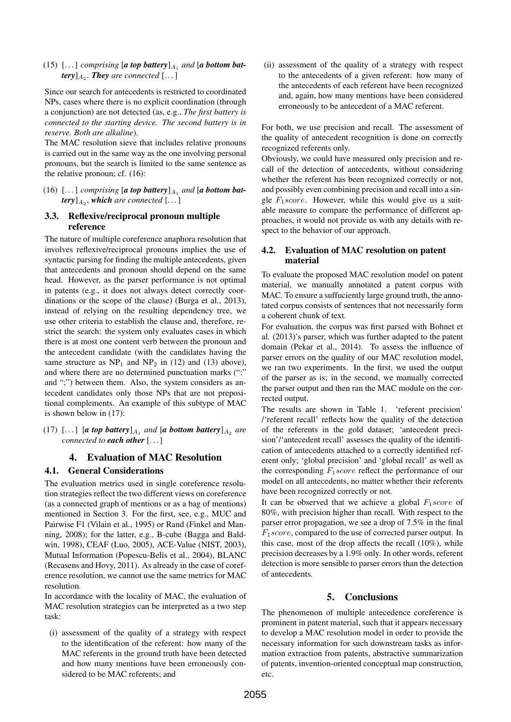$(15)$  [...] *comprising* [a top battery] $_{A_1}$  and [a bottom bat $f(\textit{tery})_{A_2}$ . **They** are connected [...]

Since our search for antecedents is restricted to coordinated NPs, cases where there is no explicit coordination (through a conjunction) are not detected (as, e.g., *The first battery is connected to the starting device. The second battery is in reserve. Both are alkaline*).

The MAC resolution sieve that includes relative pronouns is carried out in the same way as the one involving personal pronouns, but the search is limited to the same sentence as the relative pronoun; cf. (16):

 $(16)$  [...] *comprising* [a top battery] $_{A_1}$  and [a bottom bat $f(\textit{try})_{A_2}$ , which are connected [...]

#### 3.3. Reflexive/reciprocal pronoun multiple reference

The nature of multiple coreference anaphora resolution that involves reflexive/reciprocal pronouns implies the use of syntactic parsing for finding the multiple antecedents, given that antecedents and pronoun should depend on the same head. However, as the parser performance is not optimal in patents (e.g., it does not always detect correctly coordinations or the scope of the clause) (Burga et al., 2013), instead of relying on the resulting dependency tree, we use other criteria to establish the clause and, therefore, restrict the search: the system only evaluates cases in which there is at most one content verb between the pronoun and the antecedent candidate (with the candidates having the same structure as  $NP_1$  and  $NP_2$  in (12) and (13) above), and where there are no determined punctuation marks (":" and ";") between them. Also, the system considers as antecedent candidates only those NPs that are not prepositional complements. An example of this subtype of MAC is shown below in (17):

(17)  $\left[\dots\right]$  [*a top battery*]<sub> $A_1$ </sub> *and* [*a bottom battery*]<sub> $A_2$ </sub> *are connected to each other* [...]

### 4. Evaluation of MAC Resolution

### 4.1. General Considerations

The evaluation metrics used in single coreference resolution strategies reflect the two different views on coreference (as a connected graph of mentions or as a bag of mentions) mentioned in Section 3. For the first, see, e.g., MUC and Pairwise F1 (Vilain et al., 1995) or Rand (Finkel and Manning, 2008); for the latter, e.g., B-cube (Bagga and Baldwin, 1998), CEAF (Luo, 2005), ACE-Value (NIST, 2003), Mutual Information (Popescu-Belis et al., 2004), BLANC (Recasens and Hovy, 2011). As already in the case of coreference resolution, we cannot use the same metrics for MAC resolution.

In accordance with the locality of MAC, the evaluation of MAC resolution strategies can be interpreted as a two step task:

(i) assessment of the quality of a strategy with respect to the identification of the referent: how many of the MAC referents in the ground truth have been detected and how many mentions have been erroneously considered to be MAC referents; and

(ii) assessment of the quality of a strategy with respect to the antecedents of a given referent: how many of the antecedents of each referent have been recognized and, again, how many mentions have been considered erroneously to be antecedent of a MAC referent.

For both, we use precision and recall. The assessment of the quality of antecedent recognition is done on correctly recognized referents only.

Obviously, we could have measured only precision and recall of the detection of antecedents, without considering whether the referent has been recognized correctly or not, and possibly even combining precision and recall into a single  $F_1 \, score$ . However, while this would give us a suitable measure to compare the performance of different approaches, it would not provide us with any details with respect to the behavior of our approach.

#### 4.2. Evaluation of MAC resolution on patent material

To evaluate the proposed MAC resolution model on patent material, we manually annotated a patent corpus with MAC. To ensure a suffuciently large ground truth, the annotated corpus consists of sentences that not necessarily form a coherent chunk of text.

For evaluation, the corpus was first parsed with Bohnet et al. (2013)'s parser, which was further adapted to the patent domain (Pekar et al., 2014). To assess the influence of parser errors on the quality of our MAC resolution model, we ran two experiments. In the first, we used the output of the parser as is; in the second, we manually corrected the parser output and then ran the MAC module on the corrected output.

The results are shown in Table 1. 'referent precision' /'referent recall' reflects how the quality of the detection of the referents in the gold dataset; 'antecedent precision'/'antecedent recall' assesses the quality of the identification of antecedents attached to a correctly identified referent only; 'global precision' and 'global recall' as well as the corresponding  $F_1 \text{score}$  reflect the performance of our model on all antecedents, no matter whether their referents have been recognized correctly or not.

It can be observed that we achieve a global  $F_1 \, score$  of 80%, with precision higher than recall. With respect to the parser error propagation, we see a drop of 7.5% in the final  $F_1 score$ , compared to the use of corrected parser output. In this case, most of the drop affects the recall (10%), while precision decreases by a 1.9% only. In other words, referent detection is more sensible to parser errors than the detection of antecedents.

# 5. Conclusions

The phenomenon of multiple antecedence coreference is prominent in patent material, such that it appears necessary to develop a MAC resolution model in order to provide the necessary information for such downstream tasks as information extraction from patents, abstractive summarization of patents, invention-oriented conceptual map construction, etc.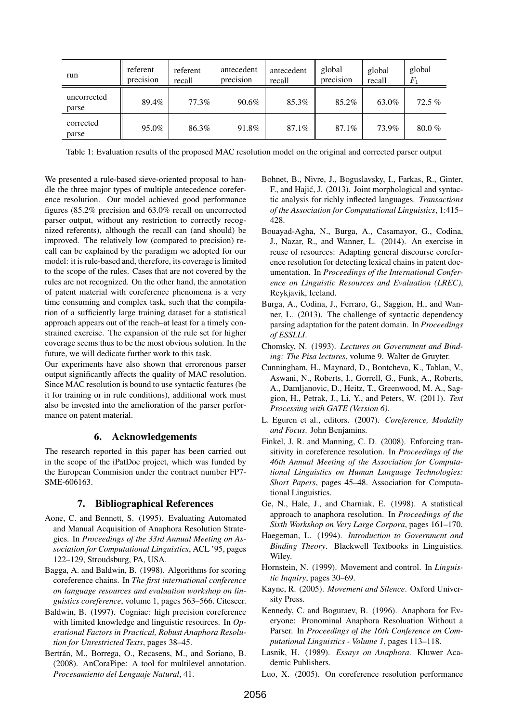| run                  | referent<br>precision | referent<br>recall | antecedent<br>precision | antecedent<br>recall | global<br>precision | global<br>recall | global<br>$\mathit{F}_1$ |
|----------------------|-----------------------|--------------------|-------------------------|----------------------|---------------------|------------------|--------------------------|
| uncorrected<br>parse | 89.4%                 | 77.3%              | 90.6%                   | 85.3%                | 85.2%               | 63.0%            | $72.5\%$                 |
| corrected<br>parse   | 95.0%                 | 86.3%              | 91.8%                   | 87.1%                | 87.1%               | 73.9%            | $80.0\%$                 |

Table 1: Evaluation results of the proposed MAC resolution model on the original and corrected parser output

We presented a rule-based sieve-oriented proposal to handle the three major types of multiple antecedence coreference resolution. Our model achieved good performance figures (85.2% precision and 63.0% recall on uncorrected parser output, without any restriction to correctly recognized referents), although the recall can (and should) be improved. The relatively low (compared to precision) recall can be explained by the paradigm we adopted for our model: it is rule-based and, therefore, its coverage is limited to the scope of the rules. Cases that are not covered by the rules are not recognized. On the other hand, the annotation of patent material with coreference phenomena is a very time consuming and complex task, such that the compilation of a sufficiently large training dataset for a statistical approach appears out of the reach–at least for a timely constrained exercise. The expansion of the rule set for higher coverage seems thus to be the most obvious solution. In the future, we will dedicate further work to this task.

Our experiments have also shown that errorenous parser output significantly affects the quality of MAC resolution. Since MAC resolution is bound to use syntactic features (be it for training or in rule conditions), additional work must also be invested into the amelioration of the parser performance on patent material.

# 6. Acknowledgements

The research reported in this paper has been carried out in the scope of the iPatDoc project, which was funded by the European Commision under the contract number FP7- SME-606163.

# 7. Bibliographical References

- Aone, C. and Bennett, S. (1995). Evaluating Automated and Manual Acquisition of Anaphora Resolution Strategies. In *Proceedings of the 33rd Annual Meeting on Association for Computational Linguistics*, ACL '95, pages 122–129, Stroudsburg, PA, USA.
- Bagga, A. and Baldwin, B. (1998). Algorithms for scoring coreference chains. In *The first international conference on language resources and evaluation workshop on linguistics coreference*, volume 1, pages 563–566. Citeseer.
- Baldwin, B. (1997). Cogniac: high precision coreference with limited knowledge and linguistic resources. In *Operational Factors in Practical, Robust Anaphora Resolution for Unrestricted Texts*, pages 38–45.
- Bertrán, M., Borrega, O., Recasens, M., and Soriano, B. (2008). AnCoraPipe: A tool for multilevel annotation. *Procesamiento del Lenguaje Natural*, 41.
- Bohnet, B., Nivre, J., Boguslavsky, I., Farkas, R., Ginter, F., and Hajic, J. (2013). Joint morphological and syntac- ´ tic analysis for richly inflected languages. *Transactions of the Association for Computational Linguistics*, 1:415– 428.
- Bouayad-Agha, N., Burga, A., Casamayor, G., Codina, J., Nazar, R., and Wanner, L. (2014). An exercise in reuse of resources: Adapting general discourse coreference resolution for detecting lexical chains in patent documentation. In *Proceedings of the International Conference on Linguistic Resources and Evaluation (LREC)*, Reykjavik, Iceland.
- Burga, A., Codina, J., Ferraro, G., Saggion, H., and Wanner, L. (2013). The challenge of syntactic dependency parsing adaptation for the patent domain. In *Proceedings of ESSLLI*.
- Chomsky, N. (1993). *Lectures on Government and Binding: The Pisa lectures*, volume 9. Walter de Gruyter.
- Cunningham, H., Maynard, D., Bontcheva, K., Tablan, V., Aswani, N., Roberts, I., Gorrell, G., Funk, A., Roberts, A., Damljanovic, D., Heitz, T., Greenwood, M. A., Saggion, H., Petrak, J., Li, Y., and Peters, W. (2011). *Text Processing with GATE (Version 6)*.
- L. Eguren et al., editors. (2007). *Coreference, Modality and Focus*. John Benjamins.
- Finkel, J. R. and Manning, C. D. (2008). Enforcing transitivity in coreference resolution. In *Proceedings of the 46th Annual Meeting of the Association for Computational Linguistics on Human Language Technologies: Short Papers*, pages 45–48. Association for Computational Linguistics.
- Ge, N., Hale, J., and Charniak, E. (1998). A statistical approach to anaphora resolution. In *Proceedings of the Sixth Workshop on Very Large Corpora*, pages 161–170.
- Haegeman, L. (1994). *Introduction to Government and Binding Theory*. Blackwell Textbooks in Linguistics. Wiley.
- Hornstein, N. (1999). Movement and control. In *Linguistic Inquiry*, pages 30–69.
- Kayne, R. (2005). *Movement and Silence*. Oxford University Press.
- Kennedy, C. and Boguraev, B. (1996). Anaphora for Everyone: Pronominal Anaphora Resoluation Without a Parser. In *Proceedings of the 16th Conference on Computational Linguistics - Volume 1*, pages 113–118.
- Lasnik, H. (1989). *Essays on Anaphora*. Kluwer Academic Publishers.
- Luo, X. (2005). On coreference resolution performance